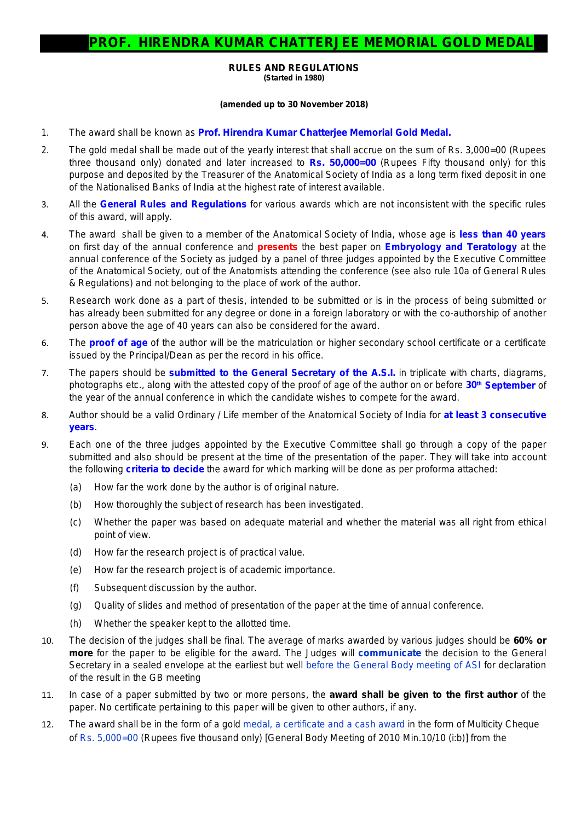## **RULES AND REGULATIONS (Started in 1980)**

## **(amended up to 30 November 2018)**

- 1. The award shall be known as **Prof. Hirendra Kumar Chatterjee Memorial Gold Medal.**
- 2. The gold medal shall be made out of the yearly interest that shall accrue on the sum of Rs. 3,000=00 (Rupees three thousand only) donated and later increased to **Rs. 50,000=00** (Rupees Fifty thousand only) for this purpose and deposited by the Treasurer of the Anatomical Society of India as a long term fixed deposit in one of the Nationalised Banks of India at the highest rate of interest available.
- 3. All the **General Rules and Regulations** for various awards which are not inconsistent with the specific rules of this award, will apply.
- 4. The award shall be given to a member of the Anatomical Society of India, whose age is *less than 40 years* on first day of the annual conference and *presents* the best paper on *Embryology and Teratology* at the annual conference of the Society as judged by a panel of three judges appointed by the Executive Committee of the Anatomical Society, out of the Anatomists attending the conference *(see also rule 10a of General Rules & Regulations)* and not belonging to the place of work of the author.
- 5. Research work done as a part of thesis, intended to be submitted or is in the process of being submitted or has already been submitted for any degree or done in a foreign laboratory or with the co-authorship of another person above the age of 40 years can also be considered for the award.
- 6. The **proof of age** of the author will be the matriculation or higher secondary school certificate or a certificate issued by the Principal/Dean as per the record in his office.
- 7. The papers should be **submitted to the General Secretary of the A.S.I.** in triplicate with charts, diagrams, photographs etc., along with the attested copy of the proof of age of the author on or before **30th September** of the year of the annual conference in which the candidate wishes to compete for the award.
- 8. Author should be a valid Ordinary / Life member of the Anatomical Society of India for **at least 3 consecutive years**.
- 9. Each one of the three judges appointed by the Executive Committee shall go through a copy of the paper submitted and also should be present at the time of the presentation of the paper. They will take into account the following **criteria to decide** the award for which marking will be done as per proforma attached:
	- (a) How far the work done by the author is of original nature.
	- (b) How thoroughly the subject of research has been investigated.
	- (c) Whether the paper was based on adequate material and whether the material was all right from ethical point of view.
	- (d) How far the research project is of practical value.
	- (e) How far the research project is of academic importance.
	- (f) Subsequent discussion by the author.
	- (g) Quality of slides and method of presentation of the paper at the time of annual conference.
	- (h) Whether the speaker kept to the allotted time.
- 10. The decision of the judges shall be final. The average of marks awarded by various judges should be **60% or more** for the paper to be eligible for the award. The Judges will **communicate** the decision to the General Secretary in a sealed envelope at the earliest but well before the General Body meeting of ASI for declaration of the result in the GB meeting
- 11. In case of a paper submitted by two or more persons, the **award shall be given to the first author** of the paper. No certificate pertaining to this paper will be given to other authors, if any.
- 12. The award shall be in the form of a gold medal, a certificate and a cash award in the form of Multicity Cheque of Rs. 5,000=00 (Rupees five thousand only) [General Body Meeting of 2010 Min.10/10 (i:b)] from the